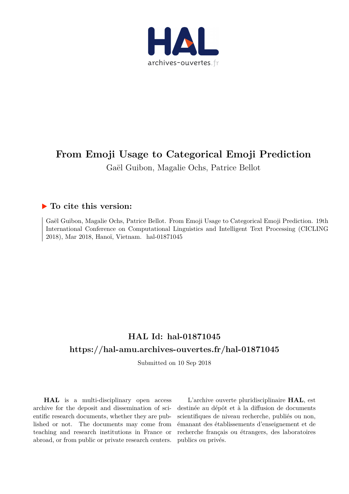

# **From Emoji Usage to Categorical Emoji Prediction** Gaël Guibon, Magalie Ochs, Patrice Bellot

## **To cite this version:**

Gaël Guibon, Magalie Ochs, Patrice Bellot. From Emoji Usage to Categorical Emoji Prediction. 19th International Conference on Computational Linguistics and Intelligent Text Processing (CICLING 2018), Mar 2018, Hanoï, Vietnam. hal-01871045

# **HAL Id: hal-01871045 <https://hal-amu.archives-ouvertes.fr/hal-01871045>**

Submitted on 10 Sep 2018

**HAL** is a multi-disciplinary open access archive for the deposit and dissemination of scientific research documents, whether they are published or not. The documents may come from teaching and research institutions in France or abroad, or from public or private research centers.

L'archive ouverte pluridisciplinaire **HAL**, est destinée au dépôt et à la diffusion de documents scientifiques de niveau recherche, publiés ou non, émanant des établissements d'enseignement et de recherche français ou étrangers, des laboratoires publics ou privés.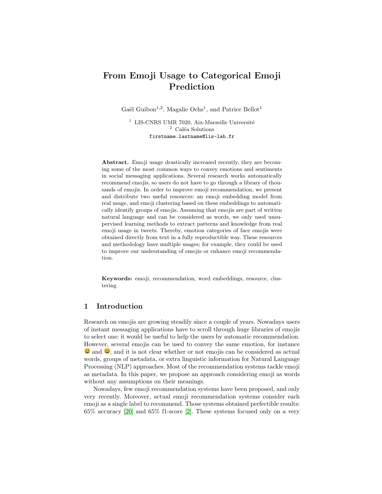## From Emoji Usage to Categorical Emoji Prediction

Gaël Guibon<sup>1,2</sup>, Magalie Ochs<sup>1</sup>, and Patrice Bellot<sup>1</sup>

 $^1\,$  LIS-CNRS UMR 7020, Aix-Marseille Université  $2$  Caléa Solutions firstname.lastname@lis-lab.fr

Abstract. Emoji usage drastically increased recently, they are becoming some of the most common ways to convey emotions and sentiments in social messaging applications. Several research works automatically recommend emojis, so users do not have to go through a library of thousands of emojis. In order to improve emoji recommendation, we present and distribute two useful resources: an emoji embedding model from real usage, and emoji clustering based on these embeddings to automatically identify groups of emojis. Assuming that emojis are part of written natural language and can be considered as words, we only used unsupervised learning methods to extract patterns and knowledge from real emoji usage in tweets. Thereby, emotion categories of face emojis were obtained directly from text in a fully reproductible way. These resources and methodology have multiple usages; for example, they could be used to improve our understanding of emojis or enhance emoji recommendation.

Keywords: emoji, recommendation, word embeddings, resource, clustering

## 1 Introduction

Research on emojis are growing steadily since a couple of years. Nowadays users of instant messaging applications have to scroll through huge libraries of emojis to select one: it would be useful to help the users by automatic recommendation. However, several emojis can be used to convey the same emotion, for instance  $\ddot{\bullet}$  and  $\dddot{\bullet}$ , and it is not clear whether or not emojis can be considered as actual words, groups of metadata, or extra linguistic information for Natural Language Processing (NLP) approaches. Most of the recommendation systems tackle emoji as metadata. In this paper, we propose an approach considering emoji as words without any assumptions on their meanings.

Nowadays, few emoji recommendation systems have been proposed, and only very recently. Moreover, actual emoji recommendation systems consider each emoji as a single label to recommend. Those systems obtained perfectible results: 65% accuracy [\[20\]](#page-10-0) and 65% f1-score [\[2\]](#page-9-0). These systems focused only on a very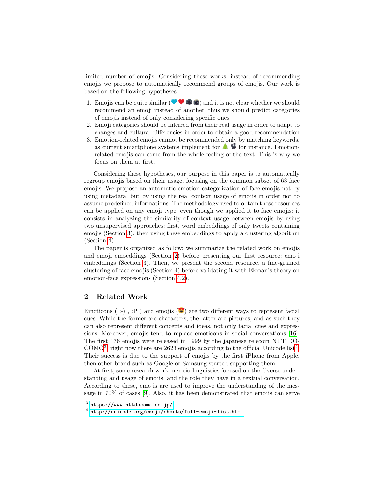limited number of emojis. Considering these works, instead of recommending emojis we propose to automatically recommend groups of emojis. Our work is based on the following hypotheses:

- 1. Emojis can be quite similar  $( \bullet \bullet \bullet \bullet )$  and it is not clear whether we should recommend an emoji instead of another, thus we should predict categories of emojis instead of only considering specific ones
- 2. Emoji categories should be inferred from their real usage in order to adapt to changes and cultural differencies in order to obtain a good recommendation
- 3. Emotion-related emojis cannot be recommended only by matching keywords, as current smartphone systems implement for  $\triangleq$   $\mathscr{C}$  for instance. Emotionrelated emojis can come from the whole feeling of the text. This is why we focus on them at first.

Considering these hypotheses, our purpose in this paper is to automatically regroup emojis based on their usage, focusing on the common subset of 63 face emojis. We propose an automatic emotion categorization of face emojis not by using metadata, but by using the real context usage of emojis in order not to assume predefined informations. The methodology used to obtain these resources can be applied on any emoji type, even though we applied it to face emojis: it consists in analyzing the similarity of context usage between emojis by using two unsupervised approaches: first, word embeddings of only tweets containing emojis (Section [3\)](#page-4-0), then using these embeddings to apply a clustering algorithm (Section [4\)](#page-6-0).

The paper is organized as follow: we summarize the related work on emojis and emoji embeddings (Section [2\)](#page-2-0) before presenting our first resource: emoji embeddings (Section [3\)](#page-4-0). Then, we present the second resource, a fine-grained clustering of face emojis (Section [4\)](#page-6-0) before validating it with Ekman's theory on emotion-face expressions (Section [4.2\)](#page-8-0).

## <span id="page-2-0"></span>2 Related Work

Emoticons (:-),  $: P$ ) and emojis ( $\bullet$ ) are two different ways to represent facial cues. While the former are characters, the latter are pictures, and as such they can also represent different concepts and ideas, not only facial cues and expressions. Moreover, emojis tend to replace emoticons in social conversations [\[16\]](#page-10-1). The first 176 emojis were released in 1999 by the japanese telecom NTT DO-COMO<sup>[3](#page-2-1)</sup>, right now there are 2623 emojis according to the official Unicode list<sup>[4](#page-2-2)</sup>. Their success is due to the support of emojis by the first iPhone from Apple, then other brand such as Google or Samsung started supporting them.

At first, some research work in socio-linguistics focused on the diverse understanding and usage of emojis, and the role they have in a textual conversation. According to these, emojis are used to improve the understanding of the message in 70% of cases [\[9\]](#page-9-1). Also, it has been demonstrated that emojis can serve

<span id="page-2-1"></span> $^3$  <https://www.nttdocomo.co.jp/>

<span id="page-2-2"></span><sup>4</sup> <http://unicode.org/emoji/charts/full-emoji-list.html>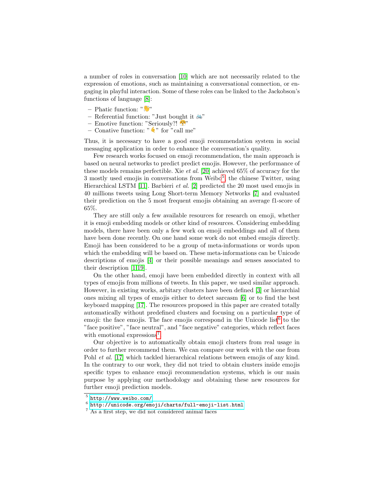a number of roles in conversation [\[10\]](#page-9-2) which are not necessarily related to the expression of emotions, such as maintaining a conversational connection, or engaging in playful interaction. Some of these roles can be linked to the Jackobson's functions of language [\[8\]](#page-9-3):

- Phatic function: " "
- Referential function: "Just bought it  $\delta$ "
- Emotive function: "Seriously?!
- Conative function: " $\leftrightarrow$ " for "call me"

Thus, it is necessary to have a good emoji recommendation system in social messaging application in order to enhance the conversation's quality.

Few research works focused on emoji recommendation, the main approach is based on neural networks to predict predict emojis. However, the performance of these models remains perfectible. Xie *et al.* [\[20\]](#page-10-0) achieved 65% of accuracy for the 3 mostly used emojis in conversations from Weibo<sup>[5](#page-3-0)</sup>, the chinese Twitter, using Hierarchical LSTM [\[11\]](#page-9-4). Barbieri et al. [\[2\]](#page-9-0) predicted the 20 most used emojis in 40 millions tweets using Long Short-term Memory Networks [\[7\]](#page-9-5) and evaluated their prediction on the 5 most frequent emojis obtaining an average f1-score of 65%.

They are still only a few available resources for research on emoji, whether it is emoji embedding models or other kind of resources. Considering embedding models, there have been only a few work on emoji embeddings and all of them have been done recently. On one hand some work do not embed emojis directly. Emoji has been considered to be a group of meta-informations or words upon which the embedding will be based on. These meta-informations can be Unicode descriptions of emojis [\[4\]](#page-9-6) or their possible meanings and senses associated to their description [\[1](#page-9-7)[,19\]](#page-10-2).

On the other hand, emoji have been embedded directly in context with all types of emojis from millions of tweets. In this paper, we used similar approach. However, in existing works, arbitary clusters have been defined [\[3\]](#page-9-8) or hierarchial ones mixing all types of emojis either to detect sarcasm [\[6\]](#page-9-9) or to find the best keyboard mapping [\[17\]](#page-10-3). The resources proposed in this paper are created totally automatically without predefined clusters and focusing on a particular type of emoji: the face emojis. The face emojis correspond in the Unicode list<sup>[6](#page-3-1)</sup> to the "face positive", "face neutral", and "face negative" categories, which reflect faces with emotional expressions<sup>[7](#page-3-2)</sup>.

Our objective is to automatically obtain emoji clusters from real usage in order to further recommend them. We can compare our work with the one from Pohl et al. [\[17\]](#page-10-3) which tackled hierarchical relations between emojis of any kind. In the contrary to our work, they did not tried to obtain clusters inside emojis specific types to enhance emoji recommendation systems, which is our main purpose by applying our methodology and obtaining these new resources for further emoji prediction models.

<span id="page-3-0"></span><sup>5</sup> <http://www.weibo.com/>

<span id="page-3-1"></span> $^6$  <http://unicode.org/emoji/charts/full-emoji-list.html>

<span id="page-3-2"></span><sup>7</sup> As a first step, we did not considered animal faces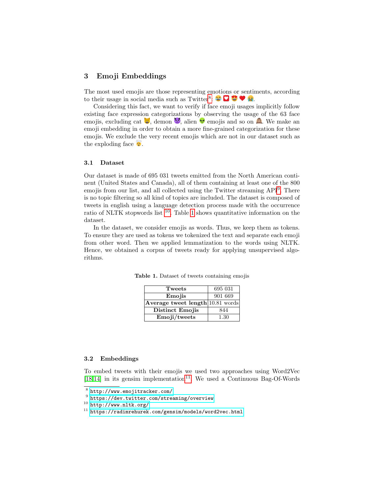## <span id="page-4-0"></span>3 Emoji Embeddings

The most used emojis are those representing emotions or sentiments, according to their usage in social media such as Twitter<sup>[8](#page-4-1)</sup>:  $\bigcirc \bigcirc \bigcirc \bigcirc \bigcirc$ 

Considering this fact, we want to verify if face emoji usages implicitly follow existing face expression categorizations by observing the usage of the 63 face emojis, excluding cat  $\mathcal{E}$ , demon  $\mathcal{E}$ , alien  $\mathcal{E}$  emojis and so on  $\mathcal{E}$ . We make an emoji embedding in order to obtain a more fine-grained categorization for these emojis. We exclude the very recent emojis which are not in our dataset such as the exploding face  $\bullet$ .

#### 3.1 Dataset

Our dataset is made of 695 031 tweets emitted from the North American continent (United States and Canada), all of them containing at least one of the 800 emojis from our list, and all collected using the Twitter streaming API<sup>[9](#page-4-2)</sup>. There is no topic filtering so all kind of topics are included. The dataset is composed of tweets in english using a language detection process made with the occurrence ratio of NLTK stopwords list [10](#page-4-3). Table [1](#page-4-4) shows quantitative information on the dataset.

In the dataset, we consider emojis as words. Thus, we keep them as tokens. To ensure they are used as tokens we tokenized the text and separate each emoji from other word. Then we applied lemmatization to the words using NLTK. Hence, we obtained a corpus of tweets ready for applying unsupervised algorithms.

<span id="page-4-4"></span>

| Tweets                           | 695 031 |
|----------------------------------|---------|
| Emojis                           | 901 669 |
| Average tweet length 10.81 words |         |
| Distinct Emojis                  | 844     |
| Emoji/tweets                     | 1.30    |

Table 1. Dataset of tweets containing emojis

#### 3.2 Embeddings

To embed tweets with their emojis we used two approaches using Word2Vec [\[18](#page-10-4)[,14\]](#page-9-10) in its gensim implementation<sup>[11](#page-4-5)</sup>. We used a Continuous Bag-Of-Words

<span id="page-4-1"></span><sup>8</sup> <http://www.emojitracker.com/>

<span id="page-4-2"></span> $^9$  <https://dev.twitter.com/streaming/overview>

<span id="page-4-3"></span> $10$  <http://www.nltk.org/>

<span id="page-4-5"></span><sup>11</sup> <https://radimrehurek.com/gensim/models/word2vec.html>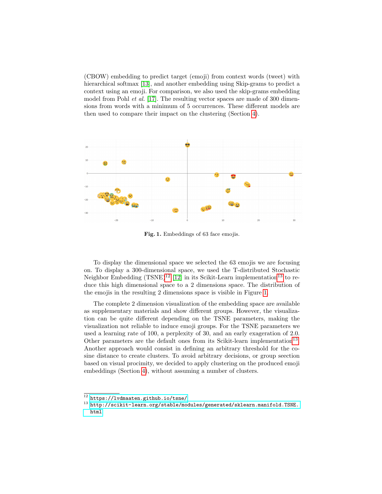(CBOW) embedding to predict target (emoji) from context words (tweet) with hierarchical softmax [\[13\]](#page-9-11), and another embedding using Skip-grams to predict a context using an emoji. For comparison, we also used the skip-grams embedding model from Pohl *et al.* [\[17\]](#page-10-3). The resulting vector spaces are made of 300 dimensions from words with a minimum of 5 occurrences. These different models are then used to compare their impact on the clustering (Section [4\)](#page-6-0).



<span id="page-5-2"></span>Fig. 1. Embeddings of 63 face emojis.

To display the dimensional space we selected the 63 emojis we are focusing on. To display a 300-dimensional space, we used the T-distributed Stochastic Neighbor Embedding  $(TSNE)^{12}$  $(TSNE)^{12}$  $(TSNE)^{12}$  [\[12\]](#page-9-12) in its Scikit-Learn implementation<sup>[13](#page-5-1)</sup> to reduce this high dimensional space to a 2 dimensions space. The distribution of the emojis in the resulting 2 dimensions space is visible in Figure [1.](#page-5-2)

The complete 2 dimension visualization of the embedding space are available as supplementary materials and show different groups. However, the visualization can be quite different depending on the TSNE parameters, making the visualization not reliable to induce emoji groups. For the TSNE parameters we used a learning rate of 100, a perplexity of 30, and an early exageration of 2.0. Other parameters are the default ones from its Scikit-learn implementation<sup>[13](#page-5-1)</sup>. Another approach would consist in defining an arbitrary threshold for the cosine distance to create clusters. To avoid arbitrary decisions, or group seection based on visual procimity, we decided to apply clustering on the produced emoji embeddings (Section [4\)](#page-6-0), without assuming a number of clusters.

<span id="page-5-0"></span> $^{12}$ <https://lvdmaaten.github.io/tsne/>

<span id="page-5-1"></span><sup>13</sup> [http://scikit-learn.org/stable/modules/generated/sklearn.manifold.TSNE.](http://scikit-learn.org/stable/modules/generated/sklearn.manifold.TSNE.html) [html](http://scikit-learn.org/stable/modules/generated/sklearn.manifold.TSNE.html)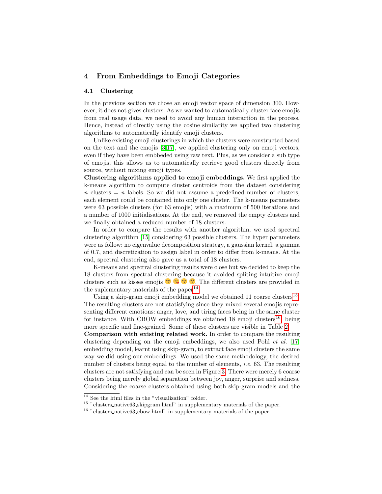## <span id="page-6-0"></span>4 From Embeddings to Emoji Categories

#### 4.1 Clustering

In the previous section we chose an emoji vector space of dimension 300. However, it does not gives clusters. As we wanted to automatically cluster face emojis from real usage data, we need to avoid any human interaction in the process. Hence, instead of directly using the cosine similarity we applied two clustering algorithms to automatically identify emoji clusters.

Unlike existing emoji clusterings in which the clusters were constructed based on the text and the emojis [\[3,](#page-9-8)[17\]](#page-10-3), we applied clustering only on emoji vectors, even if they have been embbeded using raw text. Plus, as we consider a sub type of emojis, this allows us to automatically retrieve good clusters directly from source, without mixing emoji types.

Clustering algorithms applied to emoji embeddings. We first applied the k-means algorithm to compute cluster centroids from the dataset considering  $n$  clusters  $= n$  labels. So we did not assume a predefined number of clusters, each element could be contained into only one cluster. The k-means parameters were 63 possible clusters (for 63 emojis) with a maximum of 500 iterations and a number of 1000 initialisations. At the end, we removed the empty clusters and we finally obtained a reduced number of 18 clusters.

In order to compare the results with another algorithm, we used spectral clustering algorithm [\[15\]](#page-9-13) considering 63 possible clusters. The hyper parameters were as follow: no eigenvalue decomposition strategy, a gaussian kernel, a gamma of 0.7, and discretization to assign label in order to differ from k-means. At the end, spectral clustering also gave us a total of 18 clusters.

K-means and spectral clustering results were close but we decided to keep the 18 clusters from spectral clustering because it avoided spliting intuitive emoji clusters such as kisses emojis  $\bullet$   $\bullet$   $\bullet$   $\bullet$ . The different clusters are provided in the suplementary materials of the paper<sup>[14](#page-6-1)</sup>.

Using a skip-gram emoji embedding model we obtained  $11$  coarse clusters<sup>[15](#page-6-2)</sup>. The resulting clusters are not statisfying since they mixed several emojis representing different emotions: anger, love, and tiring faces being in the same cluster for instance. With CBOW embeddings we obtained  $18 \text{ emoji clusters}^{16}$  $18 \text{ emoji clusters}^{16}$  $18 \text{ emoji clusters}^{16}$ , being more specific and fine-grained. Some of these clusters are visible in Table [2.](#page-7-0)

Comparison with existing related work. In order to compare the resulting clustering depending on the emoji embeddings, we also used Pohl et al. [\[17\]](#page-10-3) embedding model, learnt using skip-gram, to extract face emoji clusters the same way we did using our embeddings. We used the same methodology, the desired number of clusters being equal to the number of elements, *i.e.* 63. The resulting clusters are not satisfying and can be seen in Figure [3.](#page-7-1) There were merely 6 coarse clusters being merely global separation between joy, anger, surprise and sadness. Considering the coarse clusters obtained using both skip-gram models and the

<span id="page-6-1"></span> $^{14}$  See the html files in the "visualization" folder.

<span id="page-6-2"></span><sup>&</sup>lt;sup>15</sup> "clusters\_native63\_skipgram.html" in supplementary materials of the paper.

<span id="page-6-3"></span> $^{16}$  "clusters\_native63\_cbow.html" in supplementary materials of the paper.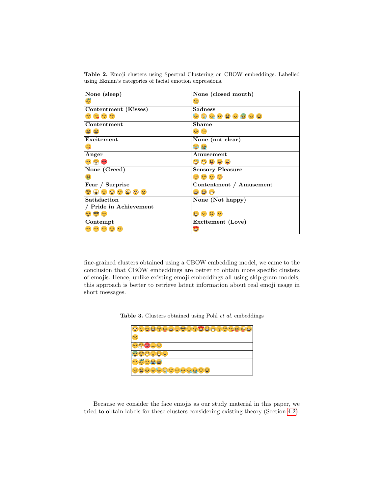<span id="page-7-0"></span>Table 2. Emoji clusters using Spectral Clustering on CBOW embeddings. Labelled using Ekman's categories of facial emotion expressions.

| None (sleep)                                                                                                                                                                                                                                                                                                                     | None (closed mouth)                       |
|----------------------------------------------------------------------------------------------------------------------------------------------------------------------------------------------------------------------------------------------------------------------------------------------------------------------------------|-------------------------------------------|
| $\frac{1}{2}$                                                                                                                                                                                                                                                                                                                    | $\mathbb{Q}$                              |
| Contentment (Kisses)                                                                                                                                                                                                                                                                                                             | <b>Sadness</b>                            |
| $\begin{pmatrix} 1 & 0 \\ 0 & 0 \\ 0 & 0 \\ 0 & 0 \\ 0 & 0 \\ 0 & 0 \\ 0 & 0 \\ 0 & 0 & 0 \\ 0 & 0 & 0 \\ 0 & 0 & 0 \\ 0 & 0 & 0 & 0 \\ 0 & 0 & 0 & 0 \\ 0 & 0 & 0 & 0 & 0 \\ 0 & 0 & 0 & 0 & 0 \\ 0 & 0 & 0 & 0 & 0 & 0 \\ 0 & 0 & 0 & 0 & 0 & 0 \\ 0 & 0 & 0 & 0 & 0 & 0 & 0 \\ 0 & 0 & 0 & 0 & 0 & 0 & 0 \\ 0 & 0 & 0 & 0 & $ | * * * * * * * * *                         |
| Contentment                                                                                                                                                                                                                                                                                                                      | <b>Shame</b>                              |
| 55                                                                                                                                                                                                                                                                                                                               | $\frac{1}{2}$ $\frac{1}{2}$ $\frac{1}{2}$ |
| Excitement                                                                                                                                                                                                                                                                                                                       | None (not clear)                          |
| $\mathfrak{S}$                                                                                                                                                                                                                                                                                                                   | 管窗                                        |
| Anger                                                                                                                                                                                                                                                                                                                            | Amusement                                 |
| $-280$                                                                                                                                                                                                                                                                                                                           | <b>98899</b>                              |
| None (Greed)                                                                                                                                                                                                                                                                                                                     | <b>Sensory Pleasure</b>                   |
| $\frac{ss}{s}$                                                                                                                                                                                                                                                                                                                   | <b>ပါ ေ ျ</b>                             |
| Fear / Surprise                                                                                                                                                                                                                                                                                                                  | Contentment / Amusement                   |
| $\bullet\bullet\bullet\bullet\bullet\bullet\bullet\bullet$                                                                                                                                                                                                                                                                       | 998                                       |
| Satisfaction                                                                                                                                                                                                                                                                                                                     | None (Not happy)                          |
| / Pride in Achievement                                                                                                                                                                                                                                                                                                           |                                           |
| ده که ده                                                                                                                                                                                                                                                                                                                         | 8080                                      |
| Contempt                                                                                                                                                                                                                                                                                                                         | Excitement (Love)                         |
| $\begin{array}{ccc} \bullet\bullet\bullet\bullet\bullet\circ\end{array}$                                                                                                                                                                                                                                                         |                                           |
|                                                                                                                                                                                                                                                                                                                                  |                                           |

fine-grained clusters obtained using a CBOW embedding model, we came to the conclusion that CBOW embeddings are better to obtain more specific clusters of emojis. Hence, unlike existing emoji embeddings all using skip-gram models, this approach is better to retrieve latent information about real emoji usage in short messages.

Table 3. Clusters obtained using Pohl et al. embeddings

<span id="page-7-1"></span>

| 이슈스   H H W W T T H H H<br>$\bullet$<br>124 |
|---------------------------------------------|
|                                             |
| ≍                                           |
|                                             |
| نه د                                        |
| 오십오십                                        |

Because we consider the face emojis as our study material in this paper, we tried to obtain labels for these clusters considering existing theory (Section [4.2\)](#page-8-0).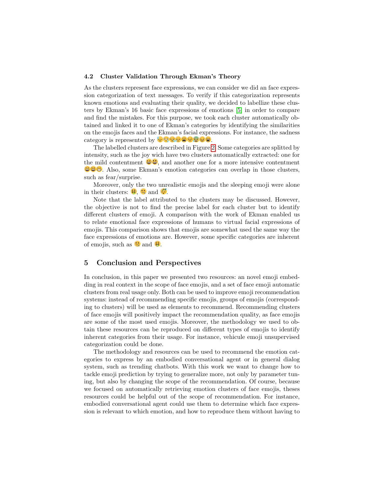#### <span id="page-8-0"></span>4.2 Cluster Validation Through Ekman's Theory

As the clusters represent face expressions, we can consider we did an face expression categorization of text messages. To verify if this categorization represents known emotions and evaluating their quality, we decided to labellize these clusters by Ekman's 16 basic face expressions of emotions [\[5\]](#page-9-14) in order to compare and find the mistakes. For this purpose, we took each cluster automatically obtained and linked it to one of Ekman's categories by identifying the similarities on the emojis faces and the Ekman's facial expressions. For instance, the sadness category is represented by  $\mathbb{C} \mathbb{C} \mathbb{C} \mathbb{C} \mathbb{C} \mathbb{C} \mathbb{C}$ 

The labelled clusters are described in Figure [2.](#page-7-0) Some categories are splitted by intensity, such as the joy wich have two clusters automatically extracted: one for the mild contentment  $\Theta$ , and another one for a more intensive contentment  $\Theta$ . Also, some Ekman's emotion categories can overlap in those clusters, such as fear/surprise.

Moreover, only the two unrealistic emojis and the sleeping emoji were alone in their clusters:  $\mathbf{9}$ ,  $\mathbf{\ddot{\cdot}}$  and  $\mathbf{\ddot{\cdot}}$ .

Note that the label attributed to the clusters may be discussed. However, the objective is not to find the precise label for each cluster but to identify different clusters of emoji. A comparison with the work of Ekman enabled us to relate emotional face expressions of humans to virtual facial expressions of emojis. This comparison shows that emojis are somewhat used the same way the face expressions of emotions are. However, some specific categories are inherent of emojis, such as  $\ddot{\mathbf{u}}$  and  $\ddot{\mathbf{v}}$ .

### 5 Conclusion and Perspectives

In conclusion, in this paper we presented two resources: an novel emoji embedding in real context in the scope of face emojis, and a set of face emoji automatic clusters from real usage only. Both can be used to improve emoji recommendation systems: instead of recommending specific emojis, groups of emojis (corresponding to clusters) will be used as elements to recommend. Recommending clusters of face emojis will positively impact the recommendation quality, as face emojis are some of the most used emojis. Moreover, the methodology we used to obtain these resources can be reproduced on different types of emojis to identify inherent categories from their usage. For instance, vehicule emoji unsupervised categorization could be done.

The methodology and resources can be used to recommend the emotion categories to express by an embodied conversational agent or in general dialog system, such as trending chatbots. With this work we want to change how to tackle emoji prediction by trying to generalize more, not only by parameter tuning, but also by changing the scope of the recommendation. Of course, because we focused on automatically retrieving emotion clusters of face emojis, theses resources could be helpful out of the scope of recommendation. For instance, embodied conversational agent could use them to determine which face expression is relevant to which emotion, and how to reproduce them without having to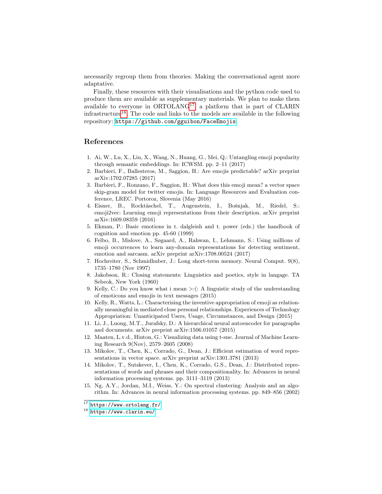necessarily regroup them from theories. Making the conversational agent more adaptative.

Finally, these resources with their visualisations and the python code used to produce them are available as supplementary materials. We plan to make them available to everyone in  $ORTOLANG<sup>17</sup>$  $ORTOLANG<sup>17</sup>$  $ORTOLANG<sup>17</sup>$ , a platform that is part of CLARIN infrastructure[18](#page-9-16). The code and links to the models are available in the following repository: <https://github.com/gguibon/FaceEmojis>.

## References

- <span id="page-9-7"></span>1. Ai, W., Lu, X., Liu, X., Wang, N., Huang, G., Mei, Q.: Untangling emoji popularity through semantic embeddings. In: ICWSM. pp. 2–11 (2017)
- <span id="page-9-0"></span>2. Barbieri, F., Ballesteros, M., Saggion, H.: Are emojis predictable? arXiv preprint arXiv:1702.07285 (2017)
- <span id="page-9-8"></span>3. Barbieri, F., Ronzano, F., Saggion, H.: What does this emoji mean? a vector space skip-gram model for twitter emojis. In: Language Resources and Evaluation conference, LREC. Portoroz, Slovenia (May 2016)
- <span id="page-9-6"></span>4. Eisner, B., Rocktäschel, T., Augenstein, I., Bošnjak, M., Riedel, S.: emoji2vec: Learning emoji representations from their description. arXiv preprint arXiv:1609.08359 (2016)
- <span id="page-9-14"></span>5. Ekman, P.: Basic emotions in t. dalgleish and t. power (eds.) the handbook of cognition and emotion pp. 45-60 (1999)
- <span id="page-9-9"></span>6. Felbo, B., Mislove, A., Søgaard, A., Rahwan, I., Lehmann, S.: Using millions of emoji occurrences to learn any-domain representations for detecting sentiment, emotion and sarcasm. arXiv preprint arXiv:1708.00524 (2017)
- <span id="page-9-5"></span>7. Hochreiter, S., Schmidhuber, J.: Long short-term memory. Neural Comput. 9(8), 1735–1780 (Nov 1997)
- <span id="page-9-3"></span>8. Jakobson, R.: Closing statements: Linguistics and poetics, style in langage. TA Sebeok, New York (1960)
- <span id="page-9-1"></span>9. Kelly, C.: Do you know what i mean  $\ge$ :(: A linguistic study of the understanding of emoticons and emojis in text messages (2015)
- <span id="page-9-2"></span>10. Kelly, R., Watts, L.: Characterising the inventive appropriation of emoji as relationally meaningful in mediated close personal relationships. Experiences of Technology Appropriation: Unanticipated Users, Usage, Circumstances, and Design (2015)
- <span id="page-9-4"></span>11. Li, J., Luong, M.T., Jurafsky, D.: A hierarchical neural autoencoder for paragraphs and documents. arXiv preprint arXiv:1506.01057 (2015)
- <span id="page-9-12"></span>12. Maaten, L.v.d., Hinton, G.: Visualizing data using t-sne. Journal of Machine Learning Research 9(Nov), 2579–2605 (2008)
- <span id="page-9-11"></span>13. Mikolov, T., Chen, K., Corrado, G., Dean, J.: Efficient estimation of word representations in vector space. arXiv preprint arXiv:1301.3781 (2013)
- <span id="page-9-10"></span>14. Mikolov, T., Sutskever, I., Chen, K., Corrado, G.S., Dean, J.: Distributed representations of words and phrases and their compositionality. In: Advances in neural information processing systems. pp. 3111–3119 (2013)
- <span id="page-9-13"></span>15. Ng, A.Y., Jordan, M.I., Weiss, Y.: On spectral clustering: Analysis and an algorithm. In: Advances in neural information processing systems. pp. 849–856 (2002)

<span id="page-9-15"></span> $17$  <https://www.ortolang.fr/>

<span id="page-9-16"></span><sup>18</sup> <https://www.clarin.eu/>